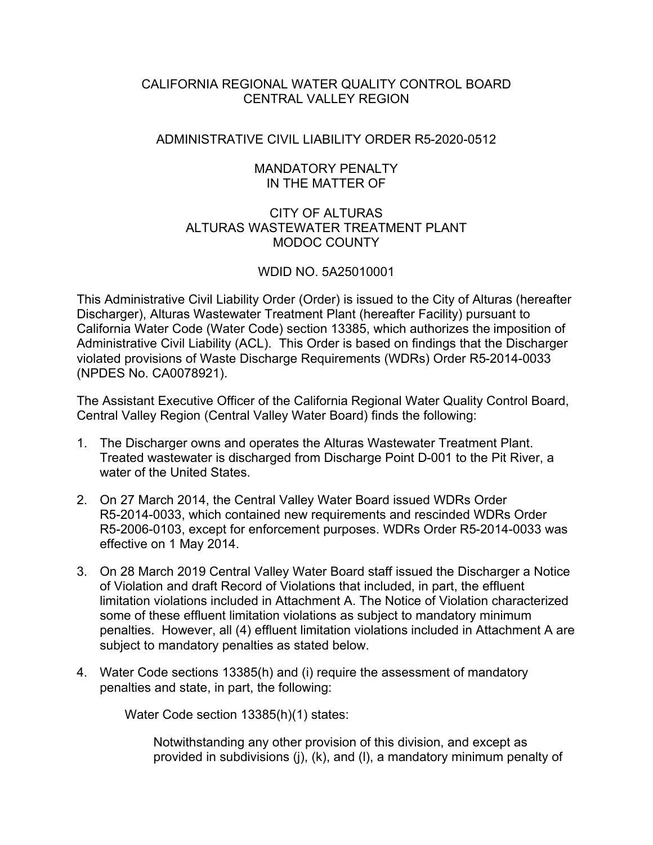# CALIFORNIA REGIONAL WATER QUALITY CONTROL BOARD CENTRAL VALLEY REGION

## ADMINISTRATIVE CIVIL LIABILITY ORDER R5-2020-0512

## MANDATORY PENALTY IN THE MATTER OF

#### CITY OF ALTURAS ALTURAS WASTEWATER TREATMENT PLANT MODOC COUNTY

# WDID NO. 5A25010001

This Administrative Civil Liability Order (Order) is issued to the City of Alturas (hereafter Discharger), Alturas Wastewater Treatment Plant (hereafter Facility) pursuant to California Water Code (Water Code) section 13385, which authorizes the imposition of Administrative Civil Liability (ACL). This Order is based on findings that the Discharger violated provisions of Waste Discharge Requirements (WDRs) Order R5-2014-0033 (NPDES No. CA0078921).

The Assistant Executive Officer of the California Regional Water Quality Control Board, Central Valley Region (Central Valley Water Board) finds the following:

- 1. The Discharger owns and operates the Alturas Wastewater Treatment Plant. Treated wastewater is discharged from Discharge Point D-001 to the Pit River, a water of the United States.
- 2. On 27 March 2014, the Central Valley Water Board issued WDRs Order R5-2014-0033, which contained new requirements and rescinded WDRs Order R5-2006-0103, except for enforcement purposes. WDRs Order R5-2014-0033 was effective on 1 May 2014.
- 3. On 28 March 2019 Central Valley Water Board staff issued the Discharger a Notice of Violation and draft Record of Violations that included, in part, the effluent limitation violations included in Attachment A. The Notice of Violation characterized some of these effluent limitation violations as subject to mandatory minimum penalties. However, all (4) effluent limitation violations included in Attachment A are subject to mandatory penalties as stated below.
- 4. Water Code sections 13385(h) and (i) require the assessment of mandatory penalties and state, in part, the following:

Water Code section 13385(h)(1) states:

Notwithstanding any other provision of this division, and except as provided in subdivisions (j), (k), and (l), a mandatory minimum penalty of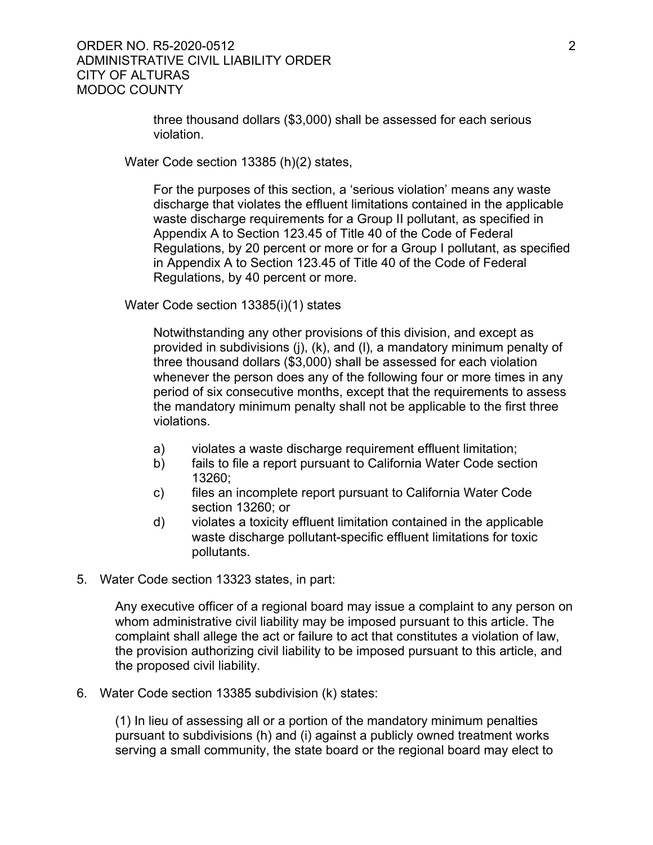three thousand dollars (\$3,000) shall be assessed for each serious violation.

Water Code section 13385 (h)(2) states,

For the purposes of this section, a 'serious violation' means any waste discharge that violates the effluent limitations contained in the applicable waste discharge requirements for a Group II pollutant, as specified in Appendix A to Section 123.45 of Title 40 of the Code of Federal Regulations, by 20 percent or more or for a Group I pollutant, as specified in Appendix A to Section 123.45 of Title 40 of the Code of Federal Regulations, by 40 percent or more.

Water Code section 13385(i)(1) states

Notwithstanding any other provisions of this division, and except as provided in subdivisions (j), (k), and (l), a mandatory minimum penalty of three thousand dollars (\$3,000) shall be assessed for each violation whenever the person does any of the following four or more times in any period of six consecutive months, except that the requirements to assess the mandatory minimum penalty shall not be applicable to the first three violations.

- a) violates a waste discharge requirement effluent limitation;
- b) fails to file a report pursuant to California Water Code section 13260;
- c) files an incomplete report pursuant to California Water Code section 13260; or
- d) violates a toxicity effluent limitation contained in the applicable waste discharge pollutant-specific effluent limitations for toxic pollutants.
- 5. Water Code section 13323 states, in part:

Any executive officer of a regional board may issue a complaint to any person on whom administrative civil liability may be imposed pursuant to this article. The complaint shall allege the act or failure to act that constitutes a violation of law, the provision authorizing civil liability to be imposed pursuant to this article, and the proposed civil liability.

6. Water Code section 13385 subdivision (k) states:

(1) In lieu of assessing all or a portion of the mandatory minimum penalties pursuant to subdivisions (h) and (i) against a publicly owned treatment works serving a small community, the state board or the regional board may elect to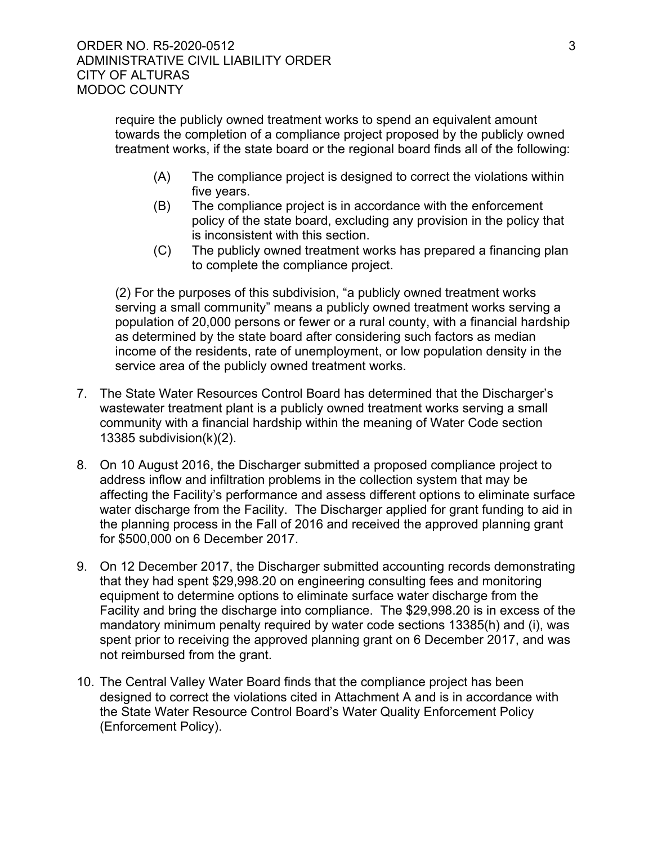require the publicly owned treatment works to spend an equivalent amount towards the completion of a compliance project proposed by the publicly owned treatment works, if the state board or the regional board finds all of the following:

- (A) The compliance project is designed to correct the violations within five years.
- (B) The compliance project is in accordance with the enforcement policy of the state board, excluding any provision in the policy that is inconsistent with this section.
- (C) The publicly owned treatment works has prepared a financing plan to complete the compliance project.

(2) For the purposes of this subdivision, "a publicly owned treatment works serving a small community" means a publicly owned treatment works serving a population of 20,000 persons or fewer or a rural county, with a financial hardship as determined by the state board after considering such factors as median income of the residents, rate of unemployment, or low population density in the service area of the publicly owned treatment works.

- 7. The State Water Resources Control Board has determined that the Discharger's wastewater treatment plant is a publicly owned treatment works serving a small community with a financial hardship within the meaning of Water Code section 13385 subdivision(k)(2).
- 8. On 10 August 2016, the Discharger submitted a proposed compliance project to address inflow and infiltration problems in the collection system that may be affecting the Facility's performance and assess different options to eliminate surface water discharge from the Facility. The Discharger applied for grant funding to aid in the planning process in the Fall of 2016 and received the approved planning grant for \$500,000 on 6 December 2017.
- 9. On 12 December 2017, the Discharger submitted accounting records demonstrating that they had spent \$29,998.20 on engineering consulting fees and monitoring equipment to determine options to eliminate surface water discharge from the Facility and bring the discharge into compliance. The \$29,998.20 is in excess of the mandatory minimum penalty required by water code sections 13385(h) and (i), was spent prior to receiving the approved planning grant on 6 December 2017, and was not reimbursed from the grant.
- 10. The Central Valley Water Board finds that the compliance project has been designed to correct the violations cited in Attachment A and is in accordance with the State Water Resource Control Board's Water Quality Enforcement Policy (Enforcement Policy).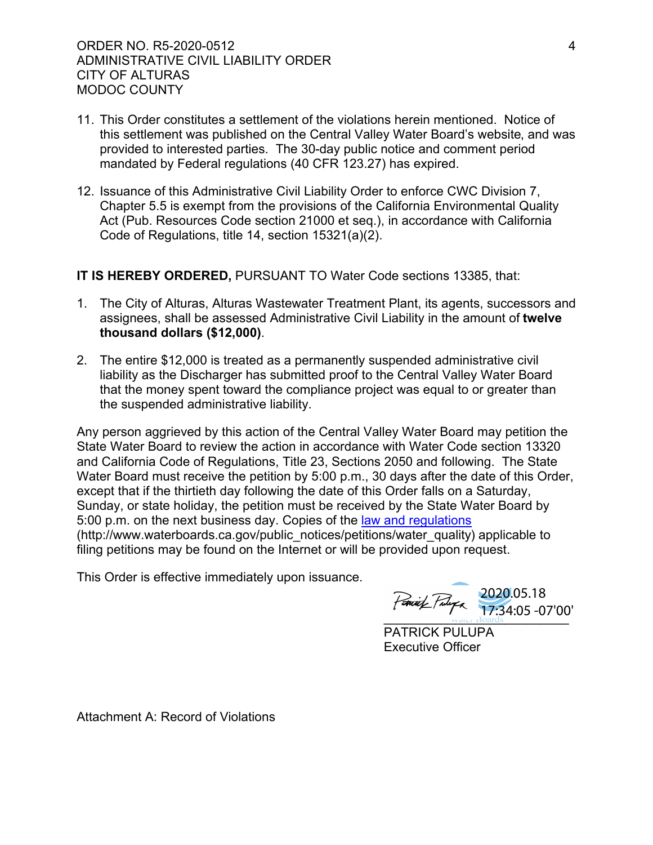- 11. This Order constitutes a settlement of the violations herein mentioned. Notice of this settlement was published on the Central Valley Water Board's website, and was provided to interested parties. The 30-day public notice and comment period mandated by Federal regulations (40 CFR 123.27) has expired.
- 12. Issuance of this Administrative Civil Liability Order to enforce CWC Division 7, Chapter 5.5 is exempt from the provisions of the California Environmental Quality Act (Pub. Resources Code section 21000 et seq.), in accordance with California Code of Regulations, title 14, section 15321(a)(2).

**IT IS HEREBY ORDERED,** PURSUANT TO Water Code sections 13385, that:

- 1. The City of Alturas, Alturas Wastewater Treatment Plant, its agents, successors and assignees, shall be assessed Administrative Civil Liability in the amount of **twelve thousand dollars (\$12,000)**.
- 2. The entire \$12,000 is treated as a permanently suspended administrative civil liability as the Discharger has submitted proof to the Central Valley Water Board that the money spent toward the compliance project was equal to or greater than the suspended administrative liability.

Any person aggrieved by this action of the Central Valley Water Board may petition the State Water Board to review the action in accordance with Water Code section 13320 and California Code of Regulations, Title 23, Sections 2050 and following. The State Water Board must receive the petition by 5:00 p.m., 30 days after the date of this Order, except that if the thirtieth day following the date of this Order falls on a Saturday, Sunday, or state holiday, the petition must be received by the State Water Board by 5:00 p.m. on the next business day. Copies of the [law and regulations](http://www.waterboards.ca.gov/public_notices/petitions/water_quality) (http://www.waterboards.ca.gov/public\_notices/petitions/water\_quality) applicable to filing petitions may be found on the Internet or will be provided upon request.

This Order is effective immediately upon issuance.

 $\frac{17.54.02 - 000}{\text{vauc}}$ 2020.05.18 17:34:05 -07'00'

PATRICK PULUPA Executive Officer

Attachment A: Record of Violations